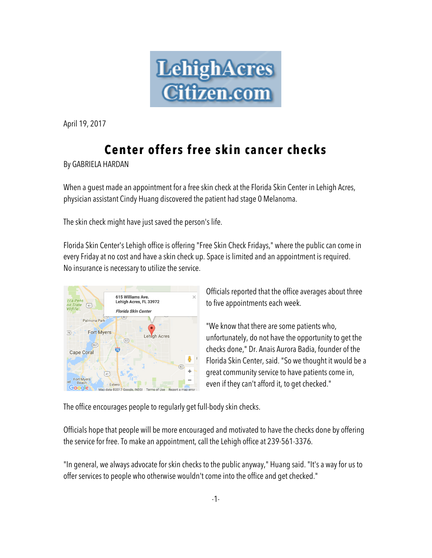

April 19, 2017

## **Center offers free skin cancer checks**

By GABRIELA HARDAN

When a guest made an appointment for a free skin check at the Florida Skin Center in Lehigh Acres, physician assistant Cindy Huang discovered the patient had stage 0 Melanoma.

The skin check might have just saved the person's life.

Florida Skin Center's Lehigh office is offering "Free Skin Check Fridays," where the public can come in every Friday at no cost and have a skin check up. Space is limited and an appointment is required. No insurance is necessary to utilize the service.



Officials reported that the office averages about three to five appointments each week.

"We know that there are some patients who, unfortunately, do not have the opportunity to get the checks done," Dr. Anais Aurora Badia, founder of the Florida Skin Center, said. "So we thought it would be a great community service to have patients come in, even if they can't afford it, to get checked."

The office encourages people to regularly get full-body skin checks.

Officials hope that people will be more encouraged and motivated to have the checks done by offering the service for free. To make an appointment, call the Lehigh office at 239-561-3376.

"In general, we always advocate for skin checks to the public anyway," Huang said. "It's a way for us to offer services to people who otherwise wouldn't come into the office and get checked."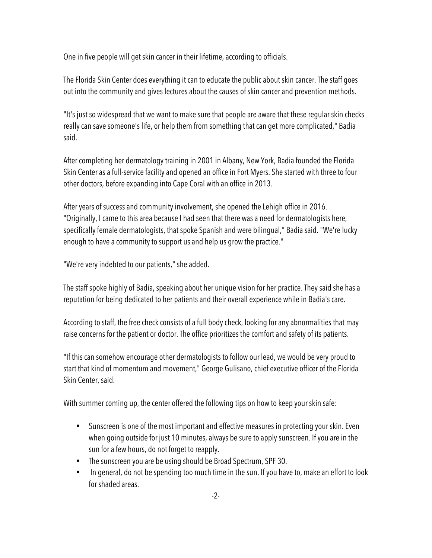One in five people will get skin cancer in their lifetime, according to officials.

The Florida Skin Center does everything it can to educate the public about skin cancer. The staff goes out into the community and gives lectures about the causes of skin cancer and prevention methods.

"It's just so widespread that we want to make sure that people are aware that these regular skin checks really can save someone's life, or help them from something that can get more complicated," Badia said.

After completing her dermatology training in 2001 in Albany, New York, Badia founded the Florida Skin Center as a full-service facility and opened an office in Fort Myers. She started with three to four other doctors, before expanding into Cape Coral with an office in 2013.

After years of success and community involvement, she opened the Lehigh office in 2016. "Originally, I came to this area because I had seen that there was a need for dermatologists here, specifically female dermatologists, that spoke Spanish and were bilingual," Badia said. "We're lucky enough to have a community to support us and help us grow the practice."

"We're very indebted to our patients," she added.

The staff spoke highly of Badia, speaking about her unique vision for her practice. They said she has a reputation for being dedicated to her patients and their overall experience while in Badia's care.

According to staff, the free check consists of a full body check, looking for any abnormalities that may raise concerns for the patient or doctor. The office prioritizes the comfort and safety of its patients.

"If this can somehow encourage other dermatologists to follow our lead, we would be very proud to start that kind of momentum and movement," George Gulisano, chief executive officer of the Florida Skin Center, said.

With summer coming up, the center offered the following tips on how to keep your skin safe:

- Sunscreen is one of the most important and effective measures in protecting your skin. Even when going outside for just 10 minutes, always be sure to apply sunscreen. If you are in the sun for a few hours, do not forget to reapply.
- The sunscreen you are be using should be Broad Spectrum, SPF 30.
- In general, do not be spending too much time in the sun. If you have to, make an effort to look for shaded areas.